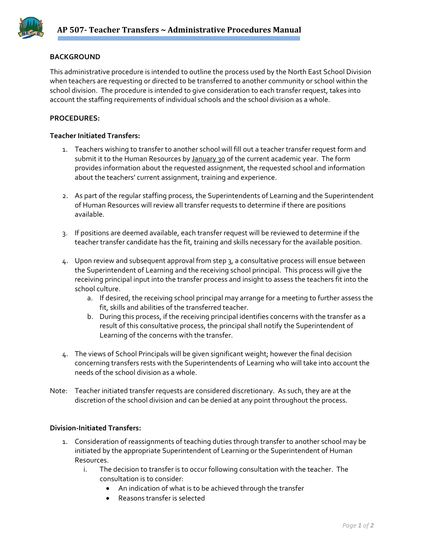

## **BACKGROUND**

This administrative procedure is intended to outline the process used by the North East School Division when teachers are requesting or directed to be transferred to another community or school within the school division. The procedure is intended to give consideration to each transfer request, takes into account the staffing requirements of individual schools and the school division as a whole.

## **PROCEDURES:**

## **Teacher Initiated Transfers:**

- 1. Teachers wishing to transfer to another school will fill out a teacher transfer request form and submit it to the Human Resources by January 30 of the current academic year. The form provides information about the requested assignment, the requested school and information about the teachers' current assignment, training and experience.
- 2. As part of the regular staffing process, the Superintendents of Learning and the Superintendent of Human Resources will review all transfer requests to determine if there are positions available.
- 3. If positions are deemed available, each transfer request will be reviewed to determine if the teacher transfer candidate has the fit, training and skills necessary for the available position.
- 4. Upon review and subsequent approval from step 3, a consultative process will ensue between the Superintendent of Learning and the receiving school principal. This process will give the receiving principal input into the transfer process and insight to assess the teachers fit into the school culture.
	- a. If desired, the receiving school principal may arrange for a meeting to further assess the fit, skills and abilities of the transferred teacher.
	- b. During this process, if the receiving principal identifies concerns with the transfer as a result of this consultative process, the principal shall notify the Superintendent of Learning of the concerns with the transfer.
- 4. The views of School Principals will be given significant weight; however the final decision concerning transfers rests with the Superintendents of Learning who will take into account the needs of the school division as a whole.
- Note: Teacher initiated transfer requests are considered discretionary. As such, they are at the discretion of the school division and can be denied at any point throughout the process.

## **Division‐Initiated Transfers:**

- 1. Consideration of reassignments of teaching duties through transfer to another school may be initiated by the appropriate Superintendent of Learning or the Superintendent of Human Resources.
	- i. The decision to transfer is to occur following consultation with the teacher. The consultation is to consider:
		- An indication of what is to be achieved through the transfer
		- Reasons transfer is selected